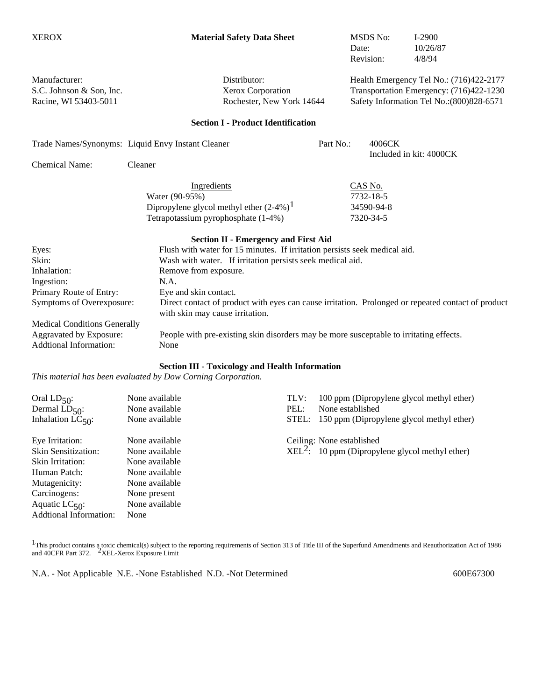| <b>XEROX</b>                                                       | <b>Material Safety Data Sheet</b>                                                                                                     |                                                           | <b>MSDS No:</b><br>Date:<br>Revision:                                                                                            | $I-2900$<br>10/26/87<br>4/8/94 |  |  |
|--------------------------------------------------------------------|---------------------------------------------------------------------------------------------------------------------------------------|-----------------------------------------------------------|----------------------------------------------------------------------------------------------------------------------------------|--------------------------------|--|--|
| Manufacturer:<br>S.C. Johnson & Son, Inc.<br>Racine, WI 53403-5011 | Distributor:<br>Xerox Corporation<br>Rochester, New York 14644                                                                        |                                                           | Health Emergency Tel No.: (716)422-2177<br>Transportation Emergency: (716)422-1230<br>Safety Information Tel No.: (800) 828-6571 |                                |  |  |
|                                                                    |                                                                                                                                       |                                                           |                                                                                                                                  |                                |  |  |
|                                                                    | <b>Section I - Product Identification</b>                                                                                             |                                                           |                                                                                                                                  |                                |  |  |
|                                                                    | Trade Names/Synonyms: Liquid Envy Instant Cleaner                                                                                     | Part No.:                                                 | 4006CK                                                                                                                           | Included in kit: 4000CK        |  |  |
| <b>Chemical Name:</b>                                              | Cleaner                                                                                                                               |                                                           |                                                                                                                                  |                                |  |  |
|                                                                    | Ingredients<br>Water (90-95%)<br>Dipropylene glycol methyl ether $(2-4%)$ <sup>1</sup><br>Tetrapotassium pyrophosphate (1-4%)         |                                                           | CAS No.<br>7732-18-5<br>34590-94-8<br>7320-34-5                                                                                  |                                |  |  |
|                                                                    | <b>Section II - Emergency and First Aid</b>                                                                                           |                                                           |                                                                                                                                  |                                |  |  |
| Eyes:                                                              | Flush with water for 15 minutes. If irritation persists seek medical aid.                                                             |                                                           |                                                                                                                                  |                                |  |  |
| Skin:                                                              |                                                                                                                                       | Wash with water. If irritation persists seek medical aid. |                                                                                                                                  |                                |  |  |
| Inhalation:                                                        | Remove from exposure.                                                                                                                 |                                                           |                                                                                                                                  |                                |  |  |
| Ingestion:                                                         | N.A.                                                                                                                                  |                                                           |                                                                                                                                  |                                |  |  |
| Primary Route of Entry:                                            | Eye and skin contact.                                                                                                                 |                                                           |                                                                                                                                  |                                |  |  |
| Symptoms of Overexposure:                                          | Direct contact of product with eyes can cause irritation. Prolonged or repeated contact of product<br>with skin may cause irritation. |                                                           |                                                                                                                                  |                                |  |  |
| <b>Medical Conditions Generally</b>                                |                                                                                                                                       |                                                           |                                                                                                                                  |                                |  |  |
| Aggravated by Exposure:                                            | People with pre-existing skin disorders may be more susceptable to irritating effects.                                                |                                                           |                                                                                                                                  |                                |  |  |
| <b>Addtional Information:</b>                                      | None                                                                                                                                  |                                                           |                                                                                                                                  |                                |  |  |
|                                                                    |                                                                                                                                       |                                                           |                                                                                                                                  |                                |  |  |

## **Section III - Toxicology and Health Information**

*This material has been evaluated by Dow Corning Corporation.*

| Oral $LD_{50}$ :              | None available | TLV: | 100 ppm (Dipropylene glycol methyl ether)         |
|-------------------------------|----------------|------|---------------------------------------------------|
| Dermal $LD_{50}$ :            | None available | PEL: | None established                                  |
| Inhalation $LC_{50}$ :        | None available |      | STEL: 150 ppm (Dipropylene glycol methyl ether)   |
| Eye Irritation:               | None available |      | Ceiling: None established                         |
| <b>Skin Sensitization:</b>    | None available |      | $XEL2$ : 10 ppm (Dipropylene glycol methyl ether) |
| Skin Irritation:              | None available |      |                                                   |
| Human Patch:                  | None available |      |                                                   |
| Mutagenicity:                 | None available |      |                                                   |
| Carcinogens:                  | None present   |      |                                                   |
| Aquatic $LC_{50}$ :           | None available |      |                                                   |
| <b>Addtional Information:</b> | None           |      |                                                   |

<sup>1</sup>This product contains a toxic chemical(s) subject to the reporting requirements of Section 313 of Title III of the Superfund Amendments and Reauthorization Act of 1986 and 40CFR Part 372. <sup>2</sup>XEL-Xerox Exposure Limit

N.A. - Not Applicable N.E. -None Established N.D. -Not Determined 600E67300